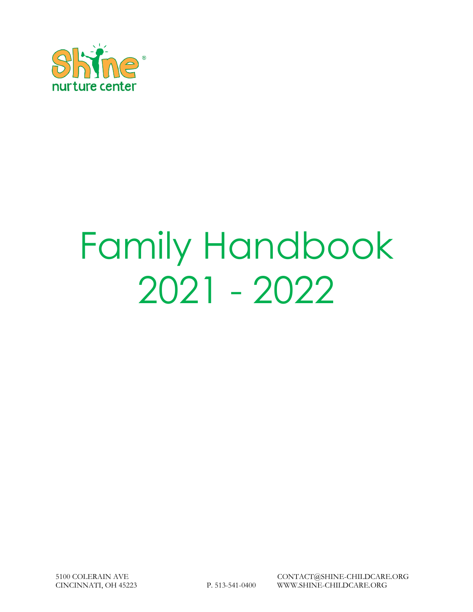

# Family Handbook 2021 - 2022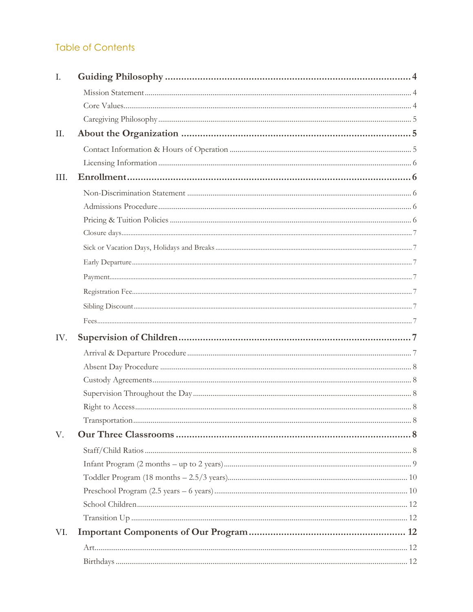# **Table of Contents**

| Ι.   |  |
|------|--|
|      |  |
|      |  |
|      |  |
| II.  |  |
|      |  |
|      |  |
| III. |  |
|      |  |
|      |  |
|      |  |
|      |  |
|      |  |
|      |  |
|      |  |
|      |  |
|      |  |
|      |  |
| IV.  |  |
|      |  |
|      |  |
|      |  |
|      |  |
|      |  |
|      |  |
| V.   |  |
|      |  |
|      |  |
|      |  |
|      |  |
|      |  |
|      |  |
| VI.  |  |
|      |  |
|      |  |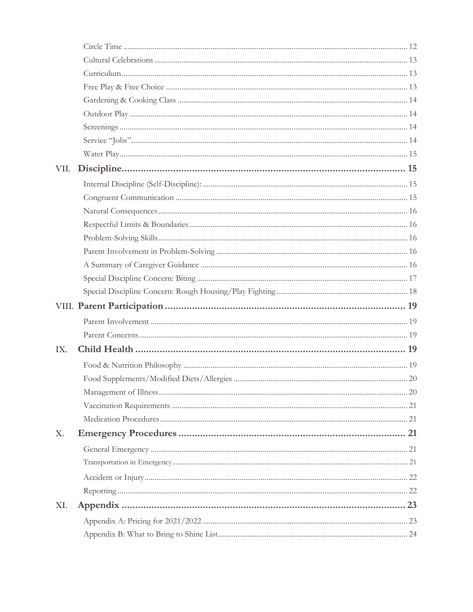| VII. |  |
|------|--|
|      |  |
|      |  |
|      |  |
|      |  |
|      |  |
|      |  |
|      |  |
|      |  |
|      |  |
|      |  |
|      |  |
|      |  |
| IX.  |  |
|      |  |
|      |  |
|      |  |
|      |  |
|      |  |
| Х.   |  |
|      |  |
|      |  |
|      |  |
|      |  |
| XI.  |  |
|      |  |
|      |  |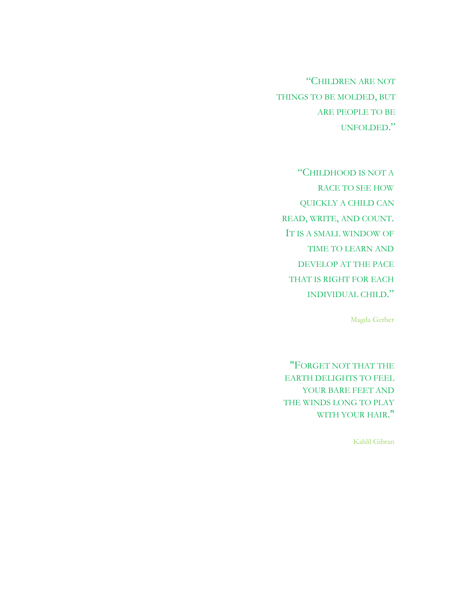"CHILDREN ARE NOT THINGS TO BE MOLDED, BUT ARE PEOPLE TO BE UNFOLDED."

"CHILDHOOD IS NOT A RACE TO SEE HOW QUICKLY A CHILD CAN READ, WRITE, AND COUNT. IT IS A SMALL WINDOW OF TIME TO LEARN AND DEVELOP AT THE PACE THAT IS RIGHT FOR EACH INDIVIDUAL CHILD."

Magda Gerber

"FORGET NOT THAT THE EARTH DELIGHTS TO FEEL YOUR BARE FEET AND THE WINDS LONG TO PLAY WITH YOUR HAIR."

Kahlil Gibran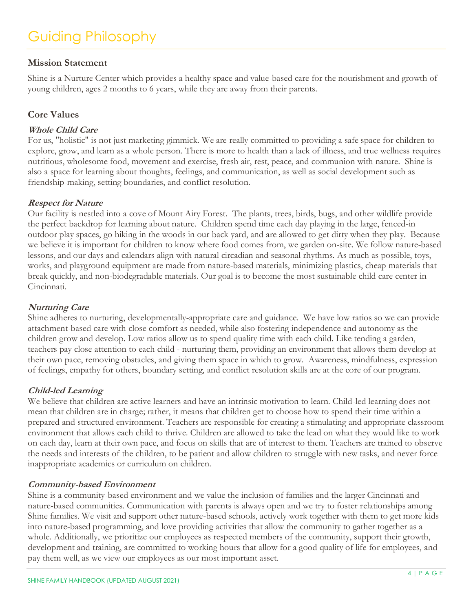# <span id="page-4-0"></span>Guiding Philosophy

# <span id="page-4-1"></span>**Mission Statement**

Shine is a Nurture Center which provides a healthy space and value-based care for the nourishment and growth of young children, ages 2 months to 6 years, while they are away from their parents.

# <span id="page-4-2"></span>**Core Values**

#### **Whole Child Care**

For us, "holistic" is not just marketing gimmick. We are really committed to providing a safe space for children to explore, grow, and learn as a whole person. There is more to health than a lack of illness, and true wellness requires nutritious, wholesome food, movement and exercise, fresh air, rest, peace, and communion with nature. Shine is also a space for learning about thoughts, feelings, and communication, as well as social development such as friendship-making, setting boundaries, and conflict resolution.

#### **Respect for Nature**

Our facility is nestled into a cove of Mount Airy Forest. The plants, trees, birds, bugs, and other wildlife provide the perfect backdrop for learning about nature. Children spend time each day playing in the large, fenced-in outdoor play spaces, go hiking in the woods in our back yard, and are allowed to get dirty when they play. Because we believe it is important for children to know where food comes from, we garden on-site. We follow nature-based lessons, and our days and calendars align with natural circadian and seasonal rhythms. As much as possible, toys, works, and playground equipment are made from nature-based materials, minimizing plastics, cheap materials that break quickly, and non-biodegradable materials. Our goal is to become the most sustainable child care center in Cincinnati.

#### **Nurturing Care**

Shine adheres to nurturing, developmentally-appropriate care and guidance. We have low ratios so we can provide attachment-based care with close comfort as needed, while also fostering independence and autonomy as the children grow and develop. Low ratios allow us to spend quality time with each child. Like tending a garden, teachers pay close attention to each child - nurturing them, providing an environment that allows them develop at their own pace, removing obstacles, and giving them space in which to grow. Awareness, mindfulness, expression of feelings, empathy for others, boundary setting, and conflict resolution skills are at the core of our program.

#### **Child-led Learning**

We believe that children are active learners and have an intrinsic motivation to learn. Child-led learning does not mean that children are in charge; rather, it means that children get to choose how to spend their time within a prepared and structured environment. Teachers are responsible for creating a stimulating and appropriate classroom environment that allows each child to thrive. Children are allowed to take the lead on what they would like to work on each day, learn at their own pace, and focus on skills that are of interest to them. Teachers are trained to observe the needs and interests of the children, to be patient and allow children to struggle with new tasks, and never force inappropriate academics or curriculum on children.

#### **Community-based Environment**

Shine is a community-based environment and we value the inclusion of families and the larger Cincinnati and nature-based communities. Communication with parents is always open and we try to foster relationships among Shine families. We visit and support other nature-based schools, actively work together with them to get more kids into nature-based programming, and love providing activities that allow the community to gather together as a whole. Additionally, we prioritize our employees as respected members of the community, support their growth, development and training, are committed to working hours that allow for a good quality of life for employees, and pay them well, as we view our employees as our most important asset.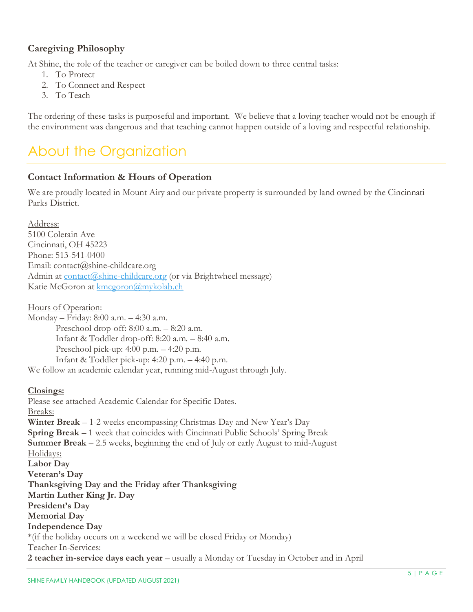# <span id="page-5-0"></span>**Caregiving Philosophy**

At Shine, the role of the teacher or caregiver can be boiled down to three central tasks:

- 1. To Protect
- 2. To Connect and Respect
- 3. To Teach

The ordering of these tasks is purposeful and important. We believe that a loving teacher would not be enough if the environment was dangerous and that teaching cannot happen outside of a loving and respectful relationship.

# <span id="page-5-1"></span>About the Organization

## <span id="page-5-2"></span>**Contact Information & Hours of Operation**

We are proudly located in Mount Airy and our private property is surrounded by land owned by the Cincinnati Parks District.

Address:

5100 Colerain Ave Cincinnati, OH 45223 Phone: 513-541-0400 Email: contact@shine-childcare.org Admin at [contact@shine-childcare.org](mailto:contact@shine-childcare.org) (or via Brightwheel message) Katie McGoron at [kmcgoron@mykolab.ch](mailto:kmcgoron@mykolab.ch)

#### Hours of Operation:

Monday – Friday: 8:00 a.m. – 4:30 a.m. Preschool drop-off: 8:00 a.m. – 8:20 a.m. Infant & Toddler drop-off: 8:20 a.m. – 8:40 a.m. Preschool pick-up: 4:00 p.m. – 4:20 p.m. Infant & Toddler pick-up: 4:20 p.m. – 4:40 p.m. We follow an academic calendar year, running mid-August through July.

#### **Closings:**

Please see attached Academic Calendar for Specific Dates. Breaks: **Winter Break** – 1-2 weeks encompassing Christmas Day and New Year's Day **Spring Break** – 1 week that coincides with Cincinnati Public Schools' Spring Break **Summer Break** – 2.5 weeks, beginning the end of July or early August to mid-August Holidays: **Labor Day Veteran's Day Thanksgiving Day and the Friday after Thanksgiving Martin Luther King Jr. Day President's Day Memorial Day Independence Day** \*(if the holiday occurs on a weekend we will be closed Friday or Monday) Teacher In-Services: **2 teacher in-service days each year** – usually a Monday or Tuesday in October and in April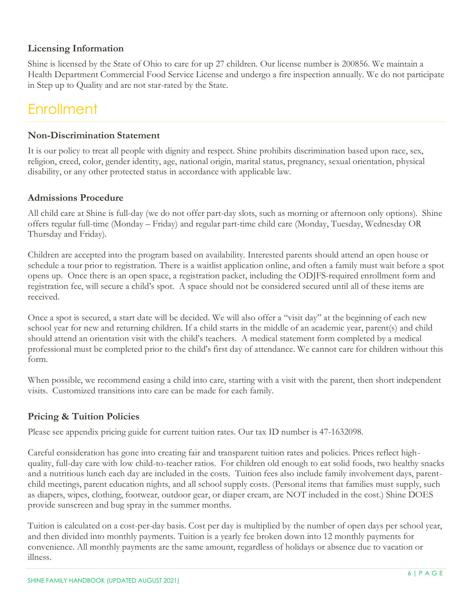# <span id="page-6-0"></span>**Licensing Information**

Shine is licensed by the State of Ohio to care for up 27 children. Our license number is 200856. We maintain a Health Department Commercial Food Service License and undergo a fire inspection annually. We do not participate in Step up to Quality and are not star-rated by the State.

# <span id="page-6-1"></span>**Enrollment**

#### <span id="page-6-2"></span>**Non-Discrimination Statement**

It is our policy to treat all people with dignity and respect. Shine prohibits discrimination based upon race, sex, religion, creed, color, gender identity, age, national origin, marital status, pregnancy, sexual orientation, physical disability, or any other protected status in accordance with applicable law.

## <span id="page-6-3"></span>**Admissions Procedure**

All child care at Shine is full-day (we do not offer part-day slots, such as morning or afternoon only options). Shine offers regular full-time (Monday – Friday) and regular part-time child care (Monday, Tuesday, Wednesday OR Thursday and Friday).

Children are accepted into the program based on availability. Interested parents should attend an open house or schedule a tour prior to registration. There is a waitlist application online, and often a family must wait before a spot opens up. Once there is an open space, a registration packet, including the ODJFS-required enrollment form and registration fee, will secure a child's spot. A space should not be considered secured until all of these items are received.

Once a spot is secured, a start date will be decided. We will also offer a "visit day" at the beginning of each new school year for new and returning children. If a child starts in the middle of an academic year, parent(s) and child should attend an orientation visit with the child's teachers. A medical statement form completed by a medical professional must be completed prior to the child's first day of attendance. We cannot care for children without this form.

When possible, we recommend easing a child into care, starting with a visit with the parent, then short independent visits. Customized transitions into care can be made for each family.

## <span id="page-6-4"></span>**Pricing & Tuition Policies**

Please see appendix pricing guide for current tuition rates. Our tax ID number is 47-1632098.

Careful consideration has gone into creating fair and transparent tuition rates and policies. Prices reflect highquality, full-day care with low child-to-teacher ratios. For children old enough to eat solid foods, two healthy snacks and a nutritious lunch each day are included in the costs. Tuition fees also include family involvement days, parentchild meetings, parent education nights, and all school supply costs. (Personal items that families must supply, such as diapers, wipes, clothing, footwear, outdoor gear, or diaper cream, are NOT included in the cost.) Shine DOES provide sunscreen and bug spray in the summer months.

Tuition is calculated on a cost-per-day basis. Cost per day is multiplied by the number of open days per school year, and then divided into monthly payments. Tuition is a yearly fee broken down into 12 monthly payments for convenience. All monthly payments are the same amount, regardless of holidays or absence due to vacation or illness.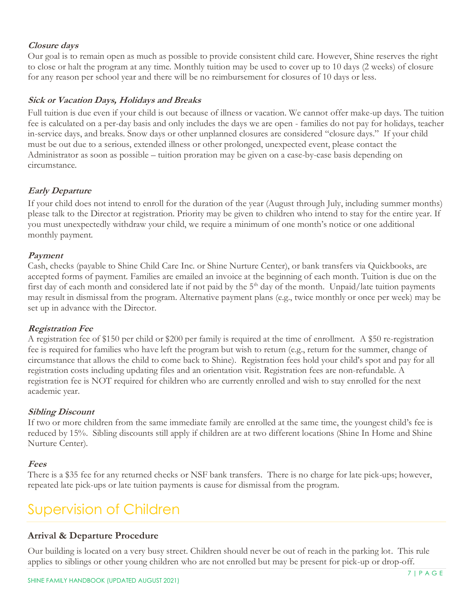#### <span id="page-7-0"></span>**Closure days**

Our goal is to remain open as much as possible to provide consistent child care. However, Shine reserves the right to close or halt the program at any time. Monthly tuition may be used to cover up to 10 days (2 weeks) of closure for any reason per school year and there will be no reimbursement for closures of 10 days or less.

#### <span id="page-7-1"></span>**Sick or Vacation Days, Holidays and Breaks**

Full tuition is due even if your child is out because of illness or vacation. We cannot offer make-up days. The tuition fee is calculated on a per-day basis and only includes the days we are open - families do not pay for holidays, teacher in-service days, and breaks. Snow days or other unplanned closures are considered "closure days." If your child must be out due to a serious, extended illness or other prolonged, unexpected event, please contact the Administrator as soon as possible – tuition proration may be given on a case-by-case basis depending on circumstance.

#### <span id="page-7-2"></span>**Early Departure**

If your child does not intend to enroll for the duration of the year (August through July, including summer months) please talk to the Director at registration. Priority may be given to children who intend to stay for the entire year. If you must unexpectedly withdraw your child, we require a minimum of one month's notice or one additional monthly payment.

#### <span id="page-7-3"></span>**Payment**

Cash, checks (payable to Shine Child Care Inc. or Shine Nurture Center), or bank transfers via Quickbooks, are accepted forms of payment. Families are emailed an invoice at the beginning of each month. Tuition is due on the first day of each month and considered late if not paid by the  $5<sup>th</sup>$  day of the month. Unpaid/late tuition payments may result in dismissal from the program. Alternative payment plans (e.g., twice monthly or once per week) may be set up in advance with the Director.

#### <span id="page-7-4"></span>**Registration Fee**

A registration fee of \$150 per child or \$200 per family is required at the time of enrollment. A \$50 re-registration fee is required for families who have left the program but wish to return (e.g., return for the summer, change of circumstance that allows the child to come back to Shine). Registration fees hold your child's spot and pay for all registration costs including updating files and an orientation visit. Registration fees are non-refundable. A registration fee is NOT required for children who are currently enrolled and wish to stay enrolled for the next academic year.

#### <span id="page-7-5"></span>**Sibling Discount**

If two or more children from the same immediate family are enrolled at the same time, the youngest child's fee is reduced by 15%. Sibling discounts still apply if children are at two different locations (Shine In Home and Shine Nurture Center).

#### <span id="page-7-6"></span>**Fees**

There is a \$35 fee for any returned checks or NSF bank transfers. There is no charge for late pick-ups; however, repeated late pick-ups or late tuition payments is cause for dismissal from the program.

# <span id="page-7-7"></span>Supervision of Children

## <span id="page-7-8"></span>**Arrival & Departure Procedure**

Our building is located on a very busy street. Children should never be out of reach in the parking lot. This rule applies to siblings or other young children who are not enrolled but may be present for pick-up or drop-off.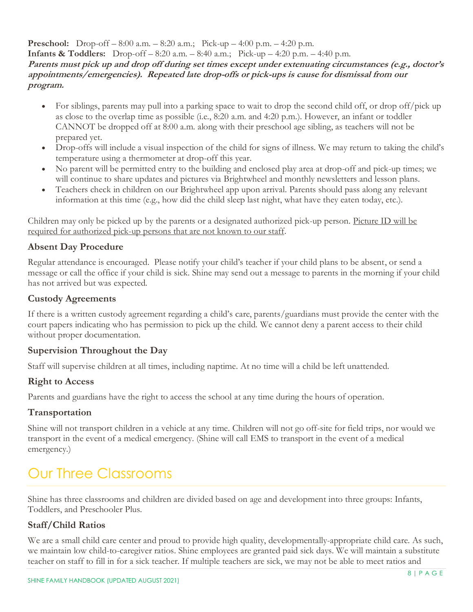**Preschool:** Drop-off – 8:00 a.m. – 8:20 a.m.; Pick-up – 4:00 p.m. – 4:20 p.m.

**Infants & Toddlers:** Drop-off – 8:20 a.m. – 8:40 a.m.; Pick-up – 4:20 p.m. – 4:40 p.m.

**Parents must pick up and drop off during set times except under extenuating circumstances (e.g., doctor's appointments/emergencies). Repeated late drop-offs or pick-ups is cause for dismissal from our program.**

- For siblings, parents may pull into a parking space to wait to drop the second child off, or drop off/pick up as close to the overlap time as possible (i.e., 8:20 a.m. and 4:20 p.m.). However, an infant or toddler CANNOT be dropped off at 8:00 a.m. along with their preschool age sibling, as teachers will not be prepared yet.
- Drop-offs will include a visual inspection of the child for signs of illness. We may return to taking the child's temperature using a thermometer at drop-off this year.
- No parent will be permitted entry to the building and enclosed play area at drop-off and pick-up times; we will continue to share updates and pictures via Brightwheel and monthly newsletters and lesson plans.
- Teachers check in children on our Brightwheel app upon arrival. Parents should pass along any relevant information at this time (e.g., how did the child sleep last night, what have they eaten today, etc.).

Children may only be picked up by the parents or a designated authorized pick-up person. Picture ID will be required for authorized pick-up persons that are not known to our staff.

# <span id="page-8-0"></span>**Absent Day Procedure**

Regular attendance is encouraged. Please notify your child's teacher if your child plans to be absent, or send a message or call the office if your child is sick. Shine may send out a message to parents in the morning if your child has not arrived but was expected.

# <span id="page-8-1"></span>**Custody Agreements**

If there is a written custody agreement regarding a child's care, parents/guardians must provide the center with the court papers indicating who has permission to pick up the child. We cannot deny a parent access to their child without proper documentation.

# <span id="page-8-2"></span>**Supervision Throughout the Day**

Staff will supervise children at all times, including naptime. At no time will a child be left unattended.

## <span id="page-8-3"></span>**Right to Access**

Parents and guardians have the right to access the school at any time during the hours of operation.

# <span id="page-8-4"></span>**Transportation**

Shine will not transport children in a vehicle at any time. Children will not go off-site for field trips, nor would we transport in the event of a medical emergency. (Shine will call EMS to transport in the event of a medical emergency.)

# <span id="page-8-5"></span>Our Three Classrooms

Shine has three classrooms and children are divided based on age and development into three groups: Infants, Toddlers, and Preschooler Plus.

# <span id="page-8-6"></span>**Staff/Child Ratios**

We are a small child care center and proud to provide high quality, developmentally-appropriate child care. As such, we maintain low child-to-caregiver ratios. Shine employees are granted paid sick days. We will maintain a substitute teacher on staff to fill in for a sick teacher. If multiple teachers are sick, we may not be able to meet ratios and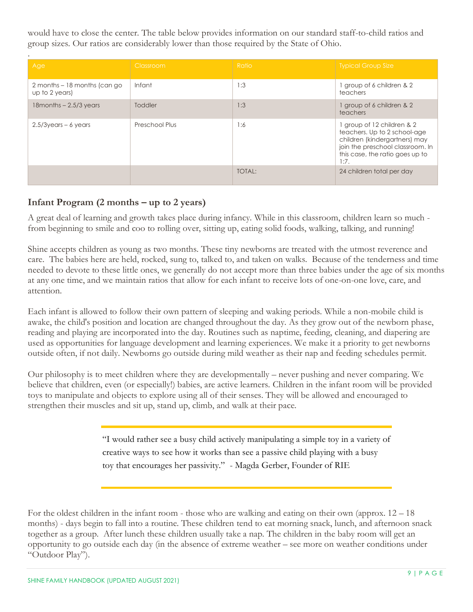would have to close the center. The table below provides information on our standard staff-to-child ratios and group sizes. Our ratios are considerably lower than those required by the State of Ohio.

| Age                                            | Classroom      | Ratio         | <b>Typical Group Size</b>                                                                                                                                                |
|------------------------------------------------|----------------|---------------|--------------------------------------------------------------------------------------------------------------------------------------------------------------------------|
| 2 months – 18 months (can go<br>up to 2 years) | Infant         | 1:3           | group of 6 children & 2<br>teachers                                                                                                                                      |
| $18$ months $-2.5/3$ years                     | Toddler        | 1:3           | group of 6 children & 2<br>teachers                                                                                                                                      |
| $2.5/3$ years – 6 years                        | Preschool Plus | 1:6           | group of 12 children & 2<br>teachers. Up to 2 school-age<br>children (kindergartners) may<br>join the preschool classroom. In<br>this case, the ratio goes up to<br>1:7. |
|                                                |                | <b>TOTAL:</b> | 24 children total per day                                                                                                                                                |

# <span id="page-9-0"></span>**Infant Program (2 months – up to 2 years)**

A great deal of learning and growth takes place during infancy. While in this classroom, children learn so much from beginning to smile and coo to rolling over, sitting up, eating solid foods, walking, talking, and running!

Shine accepts children as young as two months. These tiny newborns are treated with the utmost reverence and care. The babies here are held, rocked, sung to, talked to, and taken on walks. Because of the tenderness and time needed to devote to these little ones, we generally do not accept more than three babies under the age of six months at any one time, and we maintain ratios that allow for each infant to receive lots of one-on-one love, care, and attention.

Each infant is allowed to follow their own pattern of sleeping and waking periods. While a non-mobile child is awake, the child's position and location are changed throughout the day. As they grow out of the newborn phase, reading and playing are incorporated into the day. Routines such as naptime, feeding, cleaning, and diapering are used as opportunities for language development and learning experiences. We make it a priority to get newborns outside often, if not daily. Newborns go outside during mild weather as their nap and feeding schedules permit.

Our philosophy is to meet children where they are developmentally – never pushing and never comparing. We believe that children, even (or especially!) babies, are active learners. Children in the infant room will be provided toys to manipulate and objects to explore using all of their senses. They will be allowed and encouraged to strengthen their muscles and sit up, stand up, climb, and walk at their pace.

> "I would rather see a busy child actively manipulating a simple toy in a variety of creative ways to see how it works than see a passive child playing with a busy toy that encourages her passivity." - Magda Gerber, Founder of RIE

For the oldest children in the infant room - those who are walking and eating on their own (approx. 12 – 18 months) - days begin to fall into a routine. These children tend to eat morning snack, lunch, and afternoon snack together as a group. After lunch these children usually take a nap. The children in the baby room will get an opportunity to go outside each day (in the absence of extreme weather – see more on weather conditions under "Outdoor Play").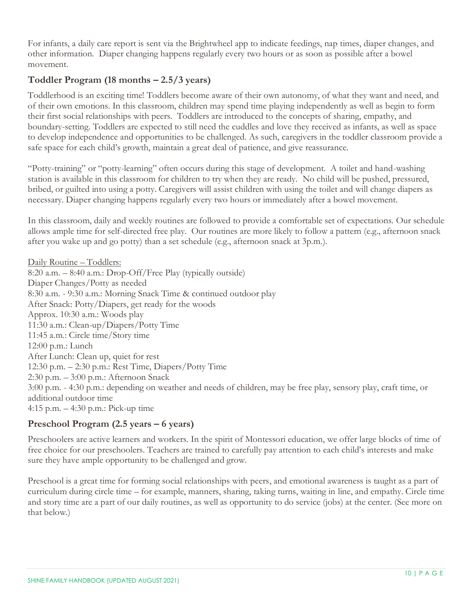For infants, a daily care report is sent via the Brightwheel app to indicate feedings, nap times, diaper changes, and other information. Diaper changing happens regularly every two hours or as soon as possible after a bowel movement.

# <span id="page-10-0"></span>**Toddler Program (18 months – 2.5/3 years)**

Toddlerhood is an exciting time! Toddlers become aware of their own autonomy, of what they want and need, and of their own emotions. In this classroom, children may spend time playing independently as well as begin to form their first social relationships with peers. Toddlers are introduced to the concepts of sharing, empathy, and boundary-setting. Toddlers are expected to still need the cuddles and love they received as infants, as well as space to develop independence and opportunities to be challenged. As such, caregivers in the toddler classroom provide a safe space for each child's growth, maintain a great deal of patience, and give reassurance.

"Potty-training" or "potty-learning" often occurs during this stage of development. A toilet and hand-washing station is available in this classroom for children to try when they are ready. No child will be pushed, pressured, bribed, or guilted into using a potty. Caregivers will assist children with using the toilet and will change diapers as necessary. Diaper changing happens regularly every two hours or immediately after a bowel movement.

In this classroom, daily and weekly routines are followed to provide a comfortable set of expectations. Our schedule allows ample time for self-directed free play. Our routines are more likely to follow a pattern (e.g., afternoon snack after you wake up and go potty) than a set schedule (e.g., afternoon snack at 3p.m.).

Daily Routine – Toddlers: 8:20 a.m. – 8:40 a.m.: Drop-Off/Free Play (typically outside) Diaper Changes/Potty as needed 8:30 a.m. - 9:30 a.m.: Morning Snack Time & continued outdoor play After Snack: Potty/Diapers, get ready for the woods Approx. 10:30 a.m.: Woods play 11:30 a.m.: Clean-up/Diapers/Potty Time 11:45 a.m.: Circle time/Story time 12:00 p.m.: Lunch After Lunch: Clean up, quiet for rest 12:30 p.m. – 2:30 p.m.: Rest Time, Diapers/Potty Time 2:30 p.m. – 3:00 p.m.: Afternoon Snack 3:00 p.m. - 4:30 p.m.: depending on weather and needs of children, may be free play, sensory play, craft time, or additional outdoor time 4:15 p.m. – 4:30 p.m.: Pick-up time

## <span id="page-10-1"></span>**Preschool Program (2.5 years – 6 years)**

Preschoolers are active learners and workers. In the spirit of Montessori education, we offer large blocks of time of free choice for our preschoolers. Teachers are trained to carefully pay attention to each child's interests and make sure they have ample opportunity to be challenged and grow.

Preschool is a great time for forming social relationships with peers, and emotional awareness is taught as a part of curriculum during circle time – for example, manners, sharing, taking turns, waiting in line, and empathy. Circle time and story time are a part of our daily routines, as well as opportunity to do service (jobs) at the center. (See more on that below.)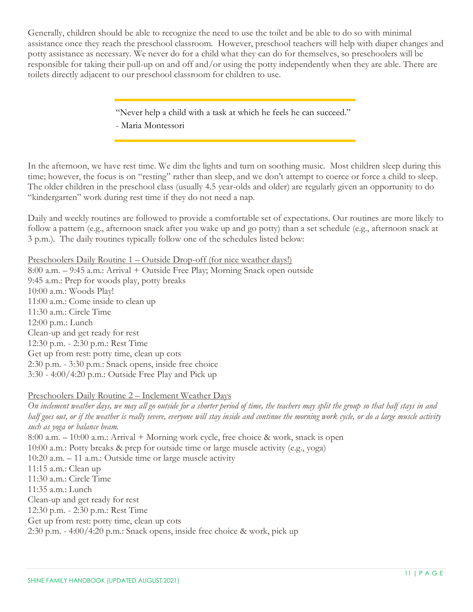Generally, children should be able to recognize the need to use the toilet and be able to do so with minimal assistance once they reach the preschool classroom. However, preschool teachers will help with diaper changes and potty assistance as necessary. We never do for a child what they can do for themselves, so preschoolers will be responsible for taking their pull-up on and off and/or using the potty independently when they are able. There are toilets directly adjacent to our preschool classroom for children to use.

> "Never help a child with a task at which he feels he can succeed." - Maria Montessori

In the afternoon, we have rest time. We dim the lights and turn on soothing music. Most children sleep during this time; however, the focus is on "resting" rather than sleep, and we don't attempt to coerce or force a child to sleep. The older children in the preschool class (usually 4.5 year-olds and older) are regularly given an opportunity to do "kindergarten" work during rest time if they do not need a nap.

Daily and weekly routines are followed to provide a comfortable set of expectations. Our routines are more likely to follow a pattern (e.g., afternoon snack after you wake up and go potty) than a set schedule (e.g., afternoon snack at 3 p.m.). The daily routines typically follow one of the schedules listed below:

Preschoolers Daily Routine 1 – Outside Drop-off (for nice weather days!)

8:00 a.m. – 9:45 a.m.: Arrival + Outside Free Play; Morning Snack open outside 9:45 a.m.: Prep for woods play, potty breaks 10:00 a.m.: Woods Play! 11:00 a.m.: Come inside to clean up 11:30 a.m.: Circle Time 12:00 p.m.: Lunch Clean-up and get ready for rest 12:30 p.m. - 2:30 p.m.: Rest Time Get up from rest: potty time, clean up cots 2:30 p.m. - 3:30 p.m.: Snack opens, inside free choice 3:30 - 4:00/4:20 p.m.: Outside Free Play and Pick up

#### Preschoolers Daily Routine 2 – Inclement Weather Days

*On inclement weather days, we may all go outside for a shorter period of time, the teachers may split the group so that half stays in and half goes out, or if the weather is really severe, everyone will stay inside and continue the morning work cycle, or do a large muscle activity such as yoga or balance beam.*  8:00 a.m. – 10:00 a.m.: Arrival + Morning work cycle, free choice & work, snack is open 10:00 a.m.: Potty breaks & prep for outside time or large muscle activity (e.g., yoga) 10:20 a.m. – 11 a.m.: Outside time or large muscle activity 11:15 a.m.: Clean up 11:30 a.m.: Circle Time 11:35 a.m.: Lunch Clean-up and get ready for rest 12:30 p.m. - 2:30 p.m.: Rest Time Get up from rest: potty time, clean up cots

2:30 p.m. - 4:00/4:20 p.m.: Snack opens, inside free choice & work, pick up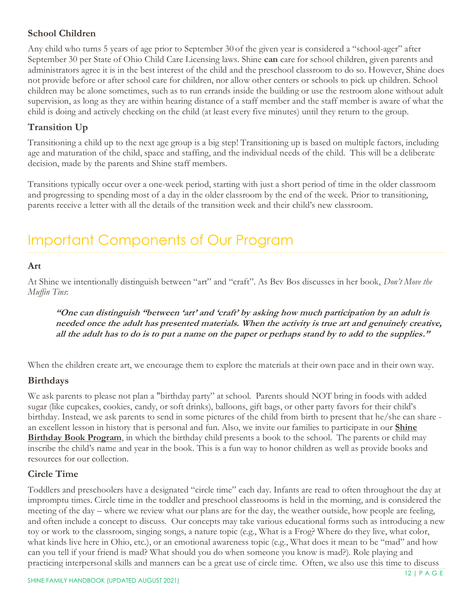# <span id="page-12-0"></span>**School Children**

Any child who turns 5 years of age prior to September 30 of the given year is considered a "school-ager" after September 30 per State of Ohio Child Care Licensing laws. Shine **can** care for school children, given parents and administrators agree it is in the best interest of the child and the preschool classroom to do so. However, Shine does not provide before or after school care for children, nor allow other centers or schools to pick up children. School children may be alone sometimes, such as to run errands inside the building or use the restroom alone without adult supervision, as long as they are within hearing distance of a staff member and the staff member is aware of what the child is doing and actively checking on the child (at least every five minutes) until they return to the group.

# <span id="page-12-1"></span>**Transition Up**

Transitioning a child up to the next age group is a big step! Transitioning up is based on multiple factors, including age and maturation of the child, space and staffing, and the individual needs of the child. This will be a deliberate decision, made by the parents and Shine staff members.

Transitions typically occur over a one-week period, starting with just a short period of time in the older classroom and progressing to spending most of a day in the older classroom by the end of the week. Prior to transitioning, parents receive a letter with all the details of the transition week and their child's new classroom.

# <span id="page-12-2"></span>Important Components of Our Program

# <span id="page-12-3"></span>**Art**

At Shine we intentionally distinguish between "art" and "craft". As Bev Bos discusses in her book, *Don't Move the Muffin Tins*:

**"One can distinguish "between 'art' and 'craft' by asking how much participation by an adult is needed once the adult has presented materials. When the activity is true art and genuinely creative, all the adult has to do is to put a name on the paper or perhaps stand by to add to the supplies."**

When the children create art, we encourage them to explore the materials at their own pace and in their own way.

## <span id="page-12-4"></span>**Birthdays**

We ask parents to please not plan a "birthday party" at school. Parents should NOT bring in foods with added sugar (like cupcakes, cookies, candy, or soft drinks), balloons, gift bags, or other party favors for their child's birthday. Instead, we ask parents to send in some pictures of the child from birth to present that he/she can share an excellent lesson in history that is personal and fun. Also, we invite our families to participate in our **Shine Birthday Book Program**, in which the birthday child presents a book to the school. The parents or child may inscribe the child's name and year in the book. This is a fun way to honor children as well as provide books and resources for our collection.

## <span id="page-12-5"></span>**Circle Time**

Toddlers and preschoolers have a designated "circle time" each day. Infants are read to often throughout the day at impromptu times. Circle time in the toddler and preschool classrooms is held in the morning, and is considered the meeting of the day – where we review what our plans are for the day, the weather outside, how people are feeling, and often include a concept to discuss. Our concepts may take various educational forms such as introducing a new toy or work to the classroom, singing songs, a nature topic (e.g., What is a Frog? Where do they live, what color, what kinds live here in Ohio, etc.), or an emotional awareness topic (e.g., What does it mean to be "mad" and how can you tell if your friend is mad? What should you do when someone you know is mad?). Role playing and practicing interpersonal skills and manners can be a great use of circle time. Often, we also use this time to discuss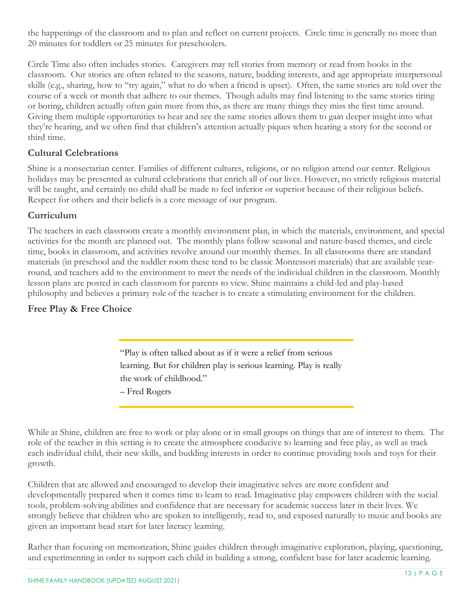the happenings of the classroom and to plan and reflect on current projects. Circle time is generally no more than 20 minutes for toddlers or 25 minutes for preschoolers.

Circle Time also often includes stories. Caregivers may tell stories from memory or read from books in the classroom. Our stories are often related to the seasons, nature, budding interests, and age appropriate interpersonal skills (e.g., sharing, how to "try again," what to do when a friend is upset). Often, the same stories are told over the course of a week or month that adhere to our themes. Though adults may find listening to the same stories tiring or boring, children actually often gain more from this, as there are many things they miss the first time around. Giving them multiple opportunities to hear and see the same stories allows them to gain deeper insight into what they're hearing, and we often find that children's attention actually piques when hearing a story for the second or third time.

# <span id="page-13-0"></span>**Cultural Celebrations**

Shine is a nonsectarian center. Families of different cultures, religions, or no religion attend our center. Religious holidays may be presented as cultural celebrations that enrich all of our lives. However, no strictly religious material will be taught, and certainly no child shall be made to feel inferior or superior because of their religious beliefs. Respect for others and their beliefs is a core message of our program.

# <span id="page-13-1"></span>**Curriculum**

The teachers in each classroom create a monthly environment plan, in which the materials, environment, and special activities for the month are planned out. The monthly plans follow seasonal and nature-based themes, and circle time, books in classroom, and activities revolve around our monthly themes. In all classrooms there are standard materials (in preschool and the toddler room these tend to be classic Montessori materials) that are available yearround, and teachers add to the environment to meet the needs of the individual children in the classroom. Monthly lesson plans are posted in each classroom for parents to view. Shine maintains a child-led and play-based philosophy and believes a primary role of the teacher is to create a stimulating environment for the children.

# <span id="page-13-2"></span>**Free Play & Free Choice**

"Play is often talked about as if it were a relief from serious learning. But for children play is serious learning. Play is really the work of childhood." – Fred Rogers

While at Shine, children are free to work or play alone or in small groups on things that are of interest to them. The role of the teacher in this setting is to create the atmosphere conducive to learning and free play, as well as track each individual child, their new skills, and budding interests in order to continue providing tools and toys for their growth.

Children that are allowed and encouraged to develop their imaginative selves are more confident and developmentally prepared when it comes time to learn to read. Imaginative play empowers children with the social tools, problem-solving abilities and confidence that are necessary for academic success later in their lives. We strongly believe that children who are spoken to intelligently, read to, and exposed naturally to music and books are given an important head start for later literacy learning.

Rather than focusing on memorization, Shine guides children through imaginative exploration, playing, questioning, and experimenting in order to support each child in building a strong, confident base for later academic learning.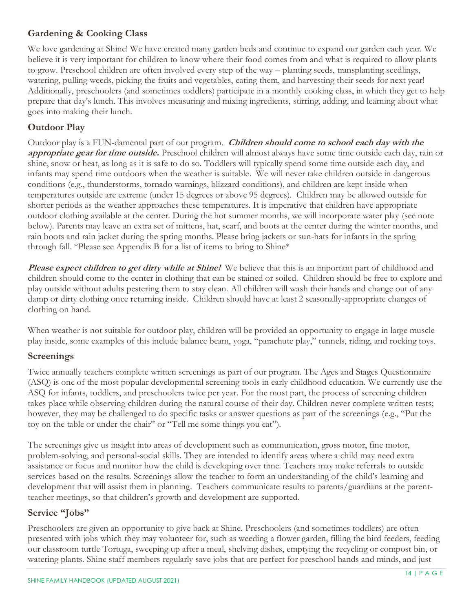# <span id="page-14-0"></span>**Gardening & Cooking Class**

We love gardening at Shine! We have created many garden beds and continue to expand our garden each year. We believe it is very important for children to know where their food comes from and what is required to allow plants to grow. Preschool children are often involved every step of the way – planting seeds, transplanting seedlings, watering, pulling weeds, picking the fruits and vegetables, eating them, and harvesting their seeds for next year! Additionally, preschoolers (and sometimes toddlers) participate in a monthly cooking class, in which they get to help prepare that day's lunch. This involves measuring and mixing ingredients, stirring, adding, and learning about what goes into making their lunch.

# <span id="page-14-1"></span>**Outdoor Play**

Outdoor play is a FUN-damental part of our program. **Children should come to school each day with the appropriate gear for time outside.** Preschool children will almost always have some time outside each day, rain or shine, snow or heat, as long as it is safe to do so. Toddlers will typically spend some time outside each day, and infants may spend time outdoors when the weather is suitable. We will never take children outside in dangerous conditions (e.g., thunderstorms, tornado warnings, blizzard conditions), and children are kept inside when temperatures outside are extreme (under 15 degrees or above 95 degrees). Children may be allowed outside for shorter periods as the weather approaches these temperatures. It is imperative that children have appropriate outdoor clothing available at the center. During the hot summer months, we will incorporate water play (see note below). Parents may leave an extra set of mittens, hat, scarf, and boots at the center during the winter months, and rain boots and rain jacket during the spring months. Please bring jackets or sun-hats for infants in the spring through fall. \*Please see Appendix B for a list of items to bring to Shine\*

**Please expect children to get dirty while at Shine!** We believe that this is an important part of childhood and children should come to the center in clothing that can be stained or soiled. Children should be free to explore and play outside without adults pestering them to stay clean. All children will wash their hands and change out of any damp or dirty clothing once returning inside. Children should have at least 2 seasonally-appropriate changes of clothing on hand.

When weather is not suitable for outdoor play, children will be provided an opportunity to engage in large muscle play inside, some examples of this include balance beam, yoga, "parachute play," tunnels, riding, and rocking toys.

# <span id="page-14-2"></span>**Screenings**

Twice annually teachers complete written screenings as part of our program. The Ages and Stages Questionnaire (ASQ) is one of the most popular developmental screening tools in early childhood education. We currently use the ASQ for infants, toddlers, and preschoolers twice per year. For the most part, the process of screening children takes place while observing children during the natural course of their day. Children never complete written tests; however, they may be challenged to do specific tasks or answer questions as part of the screenings (e.g., "Put the toy on the table or under the chair" or "Tell me some things you eat").

The screenings give us insight into areas of development such as communication, gross motor, fine motor, problem-solving, and personal-social skills. They are intended to identify areas where a child may need extra assistance or focus and monitor how the child is developing over time. Teachers may make referrals to outside services based on the results. Screenings allow the teacher to form an understanding of the child's learning and development that will assist them in planning. Teachers communicate results to parents/guardians at the parentteacher meetings, so that children's growth and development are supported.

# <span id="page-14-3"></span>**Service "Jobs"**

Preschoolers are given an opportunity to give back at Shine. Preschoolers (and sometimes toddlers) are often presented with jobs which they may volunteer for, such as weeding a flower garden, filling the bird feeders, feeding our classroom turtle Tortuga, sweeping up after a meal, shelving dishes, emptying the recycling or compost bin, or watering plants. Shine staff members regularly save jobs that are perfect for preschool hands and minds, and just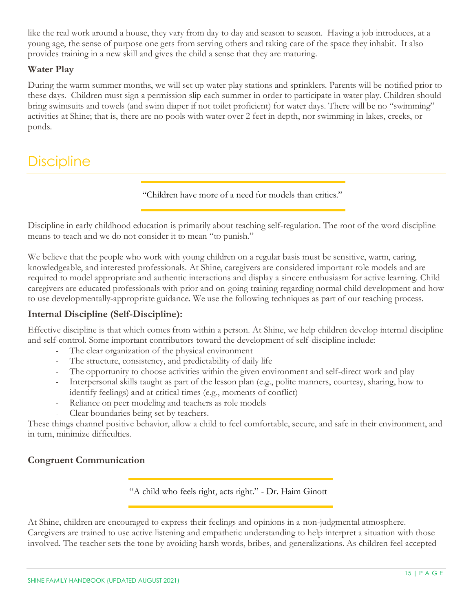like the real work around a house, they vary from day to day and season to season. Having a job introduces, at a young age, the sense of purpose one gets from serving others and taking care of the space they inhabit. It also provides training in a new skill and gives the child a sense that they are maturing.

## <span id="page-15-0"></span>**Water Play**

During the warm summer months, we will set up water play stations and sprinklers. Parents will be notified prior to these days. Children must sign a permission slip each summer in order to participate in water play. Children should bring swimsuits and towels (and swim diaper if not toilet proficient) for water days. There will be no "swimming" activities at Shine; that is, there are no pools with water over 2 feet in depth, nor swimming in lakes, creeks, or ponds.

# <span id="page-15-1"></span>**Discipline**

"Children have more of a need for models than critics."

Discipline in early childhood education is primarily about teaching self-regulation. The root of the word discipline means to teach and we do not consider it to mean "to punish."

We believe that the people who work with young children on a regular basis must be sensitive, warm, caring, knowledgeable, and interested professionals. At Shine, caregivers are considered important role models and are required to model appropriate and authentic interactions and display a sincere enthusiasm for active learning. Child caregivers are educated professionals with prior and on-going training regarding normal child development and how to use developmentally-appropriate guidance. We use the following techniques as part of our teaching process.

## <span id="page-15-2"></span>**Internal Discipline (Self-Discipline):**

Effective discipline is that which comes from within a person. At Shine, we help children develop internal discipline and self-control. Some important contributors toward the development of self-discipline include:

- The clear organization of the physical environment
- The structure, consistency, and predictability of daily life
- The opportunity to choose activities within the given environment and self-direct work and play
- Interpersonal skills taught as part of the lesson plan (e.g., polite manners, courtesy, sharing, how to identify feelings) and at critical times (e.g., moments of conflict)
- Reliance on peer modeling and teachers as role models
- Clear boundaries being set by teachers.

These things channel positive behavior, allow a child to feel comfortable, secure, and safe in their environment, and in turn, minimize difficulties.

## <span id="page-15-3"></span>**Congruent Communication**

"A child who feels right, acts right." - Dr. Haim Ginott

At Shine, children are encouraged to express their feelings and opinions in a non-judgmental atmosphere. Caregivers are trained to use active listening and empathetic understanding to help interpret a situation with those involved. The teacher sets the tone by avoiding harsh words, bribes, and generalizations. As children feel accepted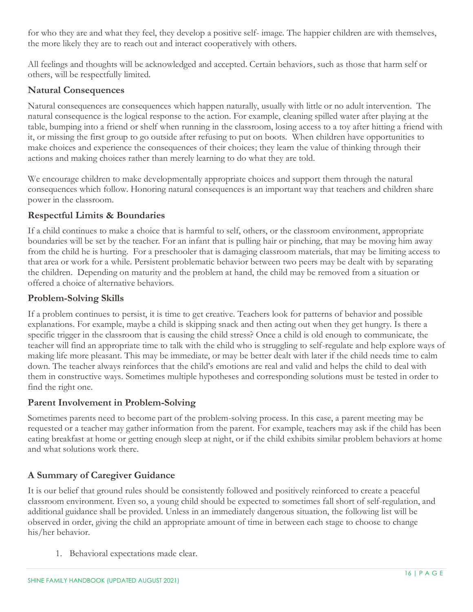for who they are and what they feel, they develop a positive self- image. The happier children are with themselves, the more likely they are to reach out and interact cooperatively with others.

All feelings and thoughts will be acknowledged and accepted. Certain behaviors, such as those that harm self or others, will be respectfully limited.

## <span id="page-16-0"></span>**Natural Consequences**

Natural consequences are consequences which happen naturally, usually with little or no adult intervention. The natural consequence is the logical response to the action. For example, cleaning spilled water after playing at the table, bumping into a friend or shelf when running in the classroom, losing access to a toy after hitting a friend with it, or missing the first group to go outside after refusing to put on boots. When children have opportunities to make choices and experience the consequences of their choices; they learn the value of thinking through their actions and making choices rather than merely learning to do what they are told.

We encourage children to make developmentally appropriate choices and support them through the natural consequences which follow. Honoring natural consequences is an important way that teachers and children share power in the classroom.

# <span id="page-16-1"></span>**Respectful Limits & Boundaries**

If a child continues to make a choice that is harmful to self, others, or the classroom environment, appropriate boundaries will be set by the teacher. For an infant that is pulling hair or pinching, that may be moving him away from the child he is hurting. For a preschooler that is damaging classroom materials, that may be limiting access to that area or work for a while. Persistent problematic behavior between two peers may be dealt with by separating the children. Depending on maturity and the problem at hand, the child may be removed from a situation or offered a choice of alternative behaviors.

# <span id="page-16-2"></span>**Problem-Solving Skills**

If a problem continues to persist, it is time to get creative. Teachers look for patterns of behavior and possible explanations. For example, maybe a child is skipping snack and then acting out when they get hungry. Is there a specific trigger in the classroom that is causing the child stress? Once a child is old enough to communicate, the teacher will find an appropriate time to talk with the child who is struggling to self-regulate and help explore ways of making life more pleasant. This may be immediate, or may be better dealt with later if the child needs time to calm down. The teacher always reinforces that the child's emotions are real and valid and helps the child to deal with them in constructive ways. Sometimes multiple hypotheses and corresponding solutions must be tested in order to find the right one.

## <span id="page-16-3"></span>**Parent Involvement in Problem-Solving**

Sometimes parents need to become part of the problem-solving process. In this case, a parent meeting may be requested or a teacher may gather information from the parent. For example, teachers may ask if the child has been eating breakfast at home or getting enough sleep at night, or if the child exhibits similar problem behaviors at home and what solutions work there.

# <span id="page-16-4"></span>**A Summary of Caregiver Guidance**

It is our belief that ground rules should be consistently followed and positively reinforced to create a peaceful classroom environment. Even so, a young child should be expected to sometimes fall short of self-regulation, and additional guidance shall be provided. Unless in an immediately dangerous situation, the following list will be observed in order, giving the child an appropriate amount of time in between each stage to choose to change his/her behavior.

1. Behavioral expectations made clear.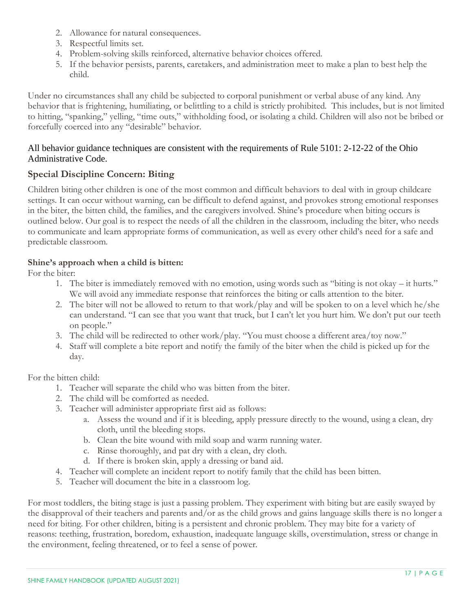- 2. Allowance for natural consequences.
- 3. Respectful limits set.
- 4. Problem-solving skills reinforced, alternative behavior choices offered.
- 5. If the behavior persists, parents, caretakers, and administration meet to make a plan to best help the child.

Under no circumstances shall any child be subjected to corporal punishment or verbal abuse of any kind. Any behavior that is frightening, humiliating, or belittling to a child is strictly prohibited. This includes, but is not limited to hitting, "spanking," yelling, "time outs," withholding food, or isolating a child. Children will also not be bribed or forcefully coerced into any "desirable" behavior.

#### All behavior guidance techniques are consistent with the requirements of Rule 5101: 2-12-22 of the Ohio Administrative Code.

# <span id="page-17-0"></span>**Special Discipline Concern: Biting**

Children biting other children is one of the most common and difficult behaviors to deal with in group childcare settings. It can occur without warning, can be difficult to defend against, and provokes strong emotional responses in the biter, the bitten child, the families, and the caregivers involved. Shine's procedure when biting occurs is outlined below. Our goal is to respect the needs of all the children in the classroom, including the biter, who needs to communicate and learn appropriate forms of communication, as well as every other child's need for a safe and predictable classroom.

## **Shine's approach when a child is bitten:**

For the biter:

- 1. The biter is immediately removed with no emotion, using words such as "biting is not okay it hurts." We will avoid any immediate response that reinforces the biting or calls attention to the biter.
- 2. The biter will not be allowed to return to that work/play and will be spoken to on a level which he/she can understand. "I can see that you want that truck, but I can't let you hurt him. We don't put our teeth on people."
- 3. The child will be redirected to other work/play. "You must choose a different area/toy now."
- 4. Staff will complete a bite report and notify the family of the biter when the child is picked up for the day.

For the bitten child:

- 1. Teacher will separate the child who was bitten from the biter.
- 2. The child will be comforted as needed.
- 3. Teacher will administer appropriate first aid as follows:
	- a. Assess the wound and if it is bleeding, apply pressure directly to the wound, using a clean, dry cloth, until the bleeding stops.
	- b. Clean the bite wound with mild soap and warm running water.
	- c. Rinse thoroughly, and pat dry with a clean, dry cloth.
	- d. If there is broken skin, apply a dressing or band aid.
- 4. Teacher will complete an incident report to notify family that the child has been bitten.
- 5. Teacher will document the bite in a classroom log.

For most toddlers, the biting stage is just a passing problem. They experiment with biting but are easily swayed by the disapproval of their teachers and parents and/or as the child grows and gains language skills there is no longer a need for biting. For other children, biting is a persistent and chronic problem. They may bite for a variety of reasons: teething, frustration, boredom, exhaustion, inadequate language skills, overstimulation, stress or change in the environment, feeling threatened, or to feel a sense of power.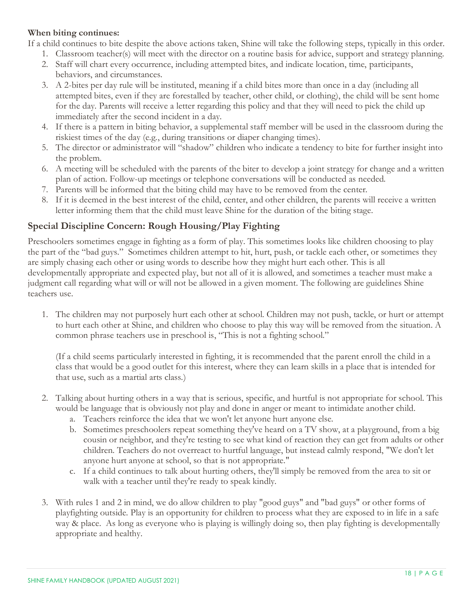#### **When biting continues:**

If a child continues to bite despite the above actions taken, Shine will take the following steps, typically in this order.

- 1. Classroom teacher(s) will meet with the director on a routine basis for advice, support and strategy planning.
- 2. Staff will chart every occurrence, including attempted bites, and indicate location, time, participants, behaviors, and circumstances.
- 3. A 2-bites per day rule will be instituted, meaning if a child bites more than once in a day (including all attempted bites, even if they are forestalled by teacher, other child, or clothing), the child will be sent home for the day. Parents will receive a letter regarding this policy and that they will need to pick the child up immediately after the second incident in a day.
- 4. If there is a pattern in biting behavior, a supplemental staff member will be used in the classroom during the riskiest times of the day (e.g., during transitions or diaper changing times).
- 5. The director or administrator will "shadow" children who indicate a tendency to bite for further insight into the problem.
- 6. A meeting will be scheduled with the parents of the biter to develop a joint strategy for change and a written plan of action. Follow-up meetings or telephone conversations will be conducted as needed.
- 7. Parents will be informed that the biting child may have to be removed from the center.
- 8. If it is deemed in the best interest of the child, center, and other children, the parents will receive a written letter informing them that the child must leave Shine for the duration of the biting stage.

# <span id="page-18-0"></span>**Special Discipline Concern: Rough Housing/Play Fighting**

Preschoolers sometimes engage in fighting as a form of play. This sometimes looks like children choosing to play the part of the "bad guys." Sometimes children attempt to hit, hurt, push, or tackle each other, or sometimes they are simply chasing each other or using words to describe how they might hurt each other. This is all developmentally appropriate and expected play, but not all of it is allowed, and sometimes a teacher must make a judgment call regarding what will or will not be allowed in a given moment. The following are guidelines Shine teachers use.

1. The children may not purposely hurt each other at school. Children may not push, tackle, or hurt or attempt to hurt each other at Shine, and children who choose to play this way will be removed from the situation. A common phrase teachers use in preschool is, "This is not a fighting school."

(If a child seems particularly interested in fighting, it is recommended that the parent enroll the child in a class that would be a good outlet for this interest, where they can learn skills in a place that is intended for that use, such as a martial arts class.)

- 2. Talking about hurting others in a way that is serious, specific, and hurtful is not appropriate for school. This would be language that is obviously not play and done in anger or meant to intimidate another child.
	- a. Teachers reinforce the idea that we won't let anyone hurt anyone else.
	- b. Sometimes preschoolers repeat something they've heard on a TV show, at a playground, from a big cousin or neighbor, and they're testing to see what kind of reaction they can get from adults or other children. Teachers do not overreact to hurtful language, but instead calmly respond, "We don't let anyone hurt anyone at school, so that is not appropriate."
	- c. If a child continues to talk about hurting others, they'll simply be removed from the area to sit or walk with a teacher until they're ready to speak kindly.
- 3. With rules 1 and 2 in mind, we do allow children to play "good guys" and "bad guys" or other forms of playfighting outside. Play is an opportunity for children to process what they are exposed to in life in a safe way & place. As long as everyone who is playing is willingly doing so, then play fighting is developmentally appropriate and healthy.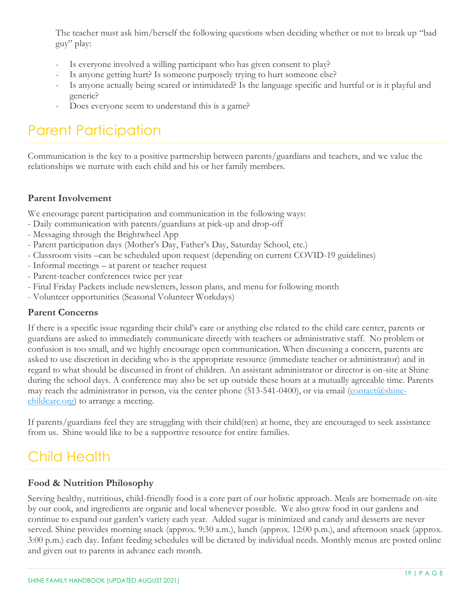The teacher must ask him/herself the following questions when deciding whether or not to break up "bad guy" play:

- Is everyone involved a willing participant who has given consent to play?
- Is anyone getting hurt? Is someone purposely trying to hurt someone else?
- Is anyone actually being scared or intimidated? Is the language specific and hurtful or is it playful and generic?
- Does everyone seem to understand this is a game?

# <span id="page-19-0"></span>Parent Participation

Communication is the key to a positive partnership between parents/guardians and teachers, and we value the relationships we nurture with each child and his or her family members.

# <span id="page-19-1"></span>**Parent Involvement**

We encourage parent participation and communication in the following ways:

- Daily communication with parents/guardians at pick-up and drop-off
- Messaging through the Brightwheel App
- Parent participation days (Mother's Day, Father's Day, Saturday School, etc.)
- Classroom visits –can be scheduled upon request (depending on current COVID-19 guidelines)
- Informal meetings at parent or teacher request
- Parent-teacher conferences twice per year
- Final Friday Packets include newsletters, lesson plans, and menu for following month
- Volunteer opportunities (Seasonal Volunteer Workdays)

## <span id="page-19-2"></span>**Parent Concerns**

If there is a specific issue regarding their child's care or anything else related to the child care center, parents or guardians are asked to immediately communicate directly with teachers or administrative staff. No problem or confusion is too small, and we highly encourage open communication. When discussing a concern, parents are asked to use discretion in deciding who is the appropriate resource (immediate teacher or administrator) and in regard to what should be discussed in front of children. An assistant administrator or director is on-site at Shine during the school days. A conference may also be set up outside these hours at a mutually agreeable time. Parents may reach the administrator in person, via the center phone (513-541-0400), or via email [\(contact@shine](mailto:contact@shine-childcare.org)[childcare.org\)](mailto:contact@shine-childcare.org) to arrange a meeting.

If parents/guardians feel they are struggling with their child(ren) at home, they are encouraged to seek assistance from us. Shine would like to be a supportive resource for entire families.

# <span id="page-19-3"></span>Child Health

## <span id="page-19-4"></span>**Food & Nutrition Philosophy**

Serving healthy, nutritious, child-friendly food is a core part of our holistic approach. Meals are homemade on-site by our cook, and ingredients are organic and local whenever possible. We also grow food in our gardens and continue to expand our garden's variety each year. Added sugar is minimized and candy and desserts are never served. Shine provides morning snack (approx. 9:30 a.m.), lunch (approx. 12:00 p.m.), and afternoon snack (approx. 3:00 p.m.) each day. Infant feeding schedules will be dictated by individual needs. Monthly menus are posted online and given out to parents in advance each month.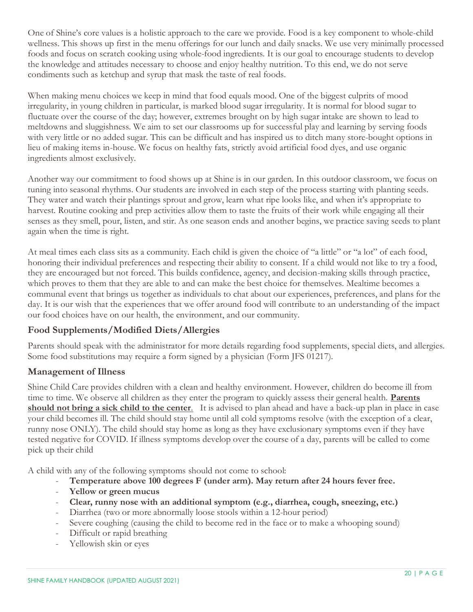One of Shine's core values is a holistic approach to the care we provide. Food is a key component to whole-child wellness. This shows up first in the menu offerings for our lunch and daily snacks. We use very minimally processed foods and focus on scratch cooking using whole-food ingredients. It is our goal to encourage students to develop the knowledge and attitudes necessary to choose and enjoy healthy nutrition. To this end, we do not serve condiments such as ketchup and syrup that mask the taste of real foods.

When making menu choices we keep in mind that food equals mood. One of the biggest culprits of mood irregularity, in young children in particular, is marked blood sugar irregularity. It is normal for blood sugar to fluctuate over the course of the day; however, extremes brought on by high sugar intake are shown to lead to meltdowns and sluggishness. We aim to set our classrooms up for successful play and learning by serving foods with very little or no added sugar. This can be difficult and has inspired us to ditch many store-bought options in lieu of making items in-house. We focus on healthy fats, strictly avoid artificial food dyes, and use organic ingredients almost exclusively.

Another way our commitment to food shows up at Shine is in our garden. In this outdoor classroom, we focus on tuning into seasonal rhythms. Our students are involved in each step of the process starting with planting seeds. They water and watch their plantings sprout and grow, learn what ripe looks like, and when it's appropriate to harvest. Routine cooking and prep activities allow them to taste the fruits of their work while engaging all their senses as they smell, pour, listen, and stir. As one season ends and another begins, we practice saving seeds to plant again when the time is right.

At meal times each class sits as a community. Each child is given the choice of "a little" or "a lot" of each food, honoring their individual preferences and respecting their ability to consent. If a child would not like to try a food, they are encouraged but not forced. This builds confidence, agency, and decision-making skills through practice, which proves to them that they are able to and can make the best choice for themselves. Mealtime becomes a communal event that brings us together as individuals to chat about our experiences, preferences, and plans for the day. It is our wish that the experiences that we offer around food will contribute to an understanding of the impact our food choices have on our health, the environment, and our community.

# <span id="page-20-0"></span>**Food Supplements/Modified Diets/Allergies**

Parents should speak with the administrator for more details regarding food supplements, special diets, and allergies. Some food substitutions may require a form signed by a physician (Form JFS 01217).

# <span id="page-20-1"></span>**Management of Illness**

Shine Child Care provides children with a clean and healthy environment. However, children do become ill from time to time. We observe all children as they enter the program to quickly assess their general health. **Parents should not bring a sick child to the center**. It is advised to plan ahead and have a back-up plan in place in case your child becomes ill. The child should stay home until all cold symptoms resolve (with the exception of a clear, runny nose ONLY). The child should stay home as long as they have exclusionary symptoms even if they have tested negative for COVID. If illness symptoms develop over the course of a day, parents will be called to come pick up their child

A child with any of the following symptoms should not come to school:

- **Temperature above 100 degrees F (under arm). May return after 24 hours fever free.**
- **Yellow or green mucus**
- **Clear, runny nose with an additional symptom (e.g., diarrhea, cough, sneezing, etc.)**
- Diarrhea (two or more abnormally loose stools within a 12-hour period)
- Severe coughing (causing the child to become red in the face or to make a whooping sound)
- Difficult or rapid breathing
- Yellowish skin or eyes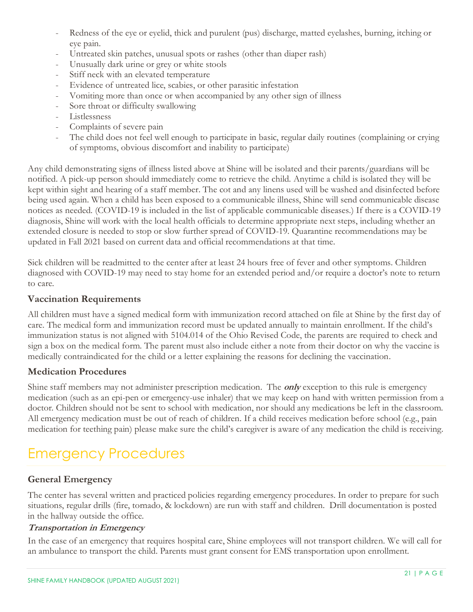- Redness of the eye or eyelid, thick and purulent (pus) discharge, matted eyelashes, burning, itching or eye pain.
- Untreated skin patches, unusual spots or rashes (other than diaper rash)
- Unusually dark urine or grey or white stools
- Stiff neck with an elevated temperature
- Evidence of untreated lice, scabies, or other parasitic infestation
- Vomiting more than once or when accompanied by any other sign of illness
- Sore throat or difficulty swallowing
- Listlessness
- Complaints of severe pain
- The child does not feel well enough to participate in basic, regular daily routines (complaining or crying of symptoms, obvious discomfort and inability to participate)

Any child demonstrating signs of illness listed above at Shine will be isolated and their parents/guardians will be notified. A pick-up person should immediately come to retrieve the child. Anytime a child is isolated they will be kept within sight and hearing of a staff member. The cot and any linens used will be washed and disinfected before being used again. When a child has been exposed to a communicable illness, Shine will send communicable disease notices as needed. (COVID-19 is included in the list of applicable communicable diseases.) If there is a COVID-19 diagnosis, Shine will work with the local health officials to determine appropriate next steps, including whether an extended closure is needed to stop or slow further spread of COVID-19. Quarantine recommendations may be updated in Fall 2021 based on current data and official recommendations at that time.

Sick children will be readmitted to the center after at least 24 hours free of fever and other symptoms. Children diagnosed with COVID-19 may need to stay home for an extended period and/or require a doctor's note to return to care.

## <span id="page-21-0"></span>**Vaccination Requirements**

All children must have a signed medical form with immunization record attached on file at Shine by the first day of care. The medical form and immunization record must be updated annually to maintain enrollment. If the child's immunization status is not aligned with 5104.014 of the Ohio Revised Code, the parents are required to check and sign a box on the medical form. The parent must also include either a note from their doctor on why the vaccine is medically contraindicated for the child or a letter explaining the reasons for declining the vaccination.

## <span id="page-21-1"></span>**Medication Procedures**

Shine staff members may not administer prescription medication. The **only** exception to this rule is emergency medication (such as an epi-pen or emergency-use inhaler) that we may keep on hand with written permission from a doctor. Children should not be sent to school with medication, nor should any medications be left in the classroom. All emergency medication must be out of reach of children. If a child receives medication before school (e.g., pain medication for teething pain) please make sure the child's caregiver is aware of any medication the child is receiving.

# <span id="page-21-2"></span>Emergency Procedures

## <span id="page-21-3"></span>**General Emergency**

The center has several written and practiced policies regarding emergency procedures. In order to prepare for such situations, regular drills (fire, tornado, & lockdown) are run with staff and children. Drill documentation is posted in the hallway outside the office.

#### <span id="page-21-4"></span>**Transportation in Emergency**

In the case of an emergency that requires hospital care, Shine employees will not transport children. We will call for an ambulance to transport the child. Parents must grant consent for EMS transportation upon enrollment.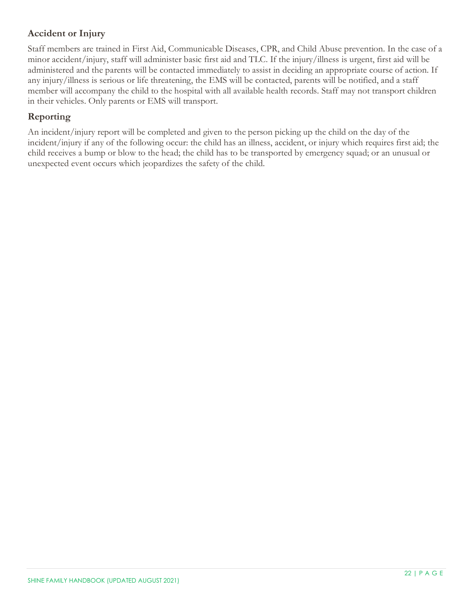# <span id="page-22-0"></span>**Accident or Injury**

Staff members are trained in First Aid, Communicable Diseases, CPR, and Child Abuse prevention. In the case of a minor accident/injury, staff will administer basic first aid and TLC. If the injury/illness is urgent, first aid will be administered and the parents will be contacted immediately to assist in deciding an appropriate course of action. If any injury/illness is serious or life threatening, the EMS will be contacted, parents will be notified, and a staff member will accompany the child to the hospital with all available health records. Staff may not transport children in their vehicles. Only parents or EMS will transport.

## <span id="page-22-1"></span>**Reporting**

An incident/injury report will be completed and given to the person picking up the child on the day of the incident/injury if any of the following occur: the child has an illness, accident, or injury which requires first aid; the child receives a bump or blow to the head; the child has to be transported by emergency squad; or an unusual or unexpected event occurs which jeopardizes the safety of the child.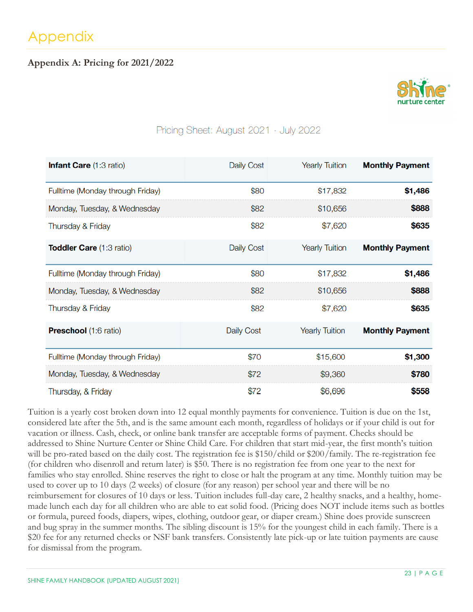# <span id="page-23-1"></span><span id="page-23-0"></span>**Appendix A: Pricing for 2021/2022**



# Pricing Sheet: August 2021 - July 2022

| <b>Infant Care (1:3 ratio)</b>   | <b>Daily Cost</b> | <b>Yearly Tuition</b> | <b>Monthly Payment</b> |
|----------------------------------|-------------------|-----------------------|------------------------|
| Fulltime (Monday through Friday) | \$80              | \$17,832              | \$1,486                |
| Monday, Tuesday, & Wednesday     | \$82              | \$10,656              | \$888                  |
| Thursday & Friday                | \$82              | \$7,620               | \$635                  |
| <b>Toddler Care (1:3 ratio)</b>  | Daily Cost        | <b>Yearly Tuition</b> | <b>Monthly Payment</b> |
| Fulltime (Monday through Friday) | \$80              | \$17,832              | \$1,486                |
| Monday, Tuesday, & Wednesday     | \$82              | \$10,656              | \$888                  |
| Thursday & Friday                | \$82              | \$7,620               | \$635                  |
| Preschool (1:6 ratio)            | <b>Daily Cost</b> | <b>Yearly Tuition</b> | <b>Monthly Payment</b> |
| Fulltime (Monday through Friday) | \$70              | \$15,600              | \$1,300                |
| Monday, Tuesday, & Wednesday     | \$72              | \$9,360               | \$780                  |
| Thursday, & Friday               | \$72              | \$6,696               | \$558                  |

Tuition is a yearly cost broken down into 12 equal monthly payments for convenience. Tuition is due on the 1st, considered late after the 5th, and is the same amount each month, regardless of holidays or if your child is out for vacation or illness. Cash, check, or online bank transfer are acceptable forms of payment. Checks should be addressed to Shine Nurture Center or Shine Child Care. For children that start mid-year, the first month's tuition will be pro-rated based on the daily cost. The registration fee is \$150/child or \$200/family. The re-registration fee (for children who disenroll and return later) is \$50. There is no registration fee from one year to the next for families who stay enrolled. Shine reserves the right to close or halt the program at any time. Monthly tuition may be used to cover up to 10 days (2 weeks) of closure (for any reason) per school year and there will be no reimbursement for closures of 10 days or less. Tuition includes full-day care, 2 healthy snacks, and a healthy, homemade lunch each day for all children who are able to eat solid food. (Pricing does NOT include items such as bottles or formula, pureed foods, diapers, wipes, clothing, outdoor gear, or diaper cream.) Shine does provide sunscreen and bug spray in the summer months. The sibling discount is 15% for the youngest child in each family. There is a \$20 fee for any returned checks or NSF bank transfers. Consistently late pick-up or late tuition payments are cause for dismissal from the program.